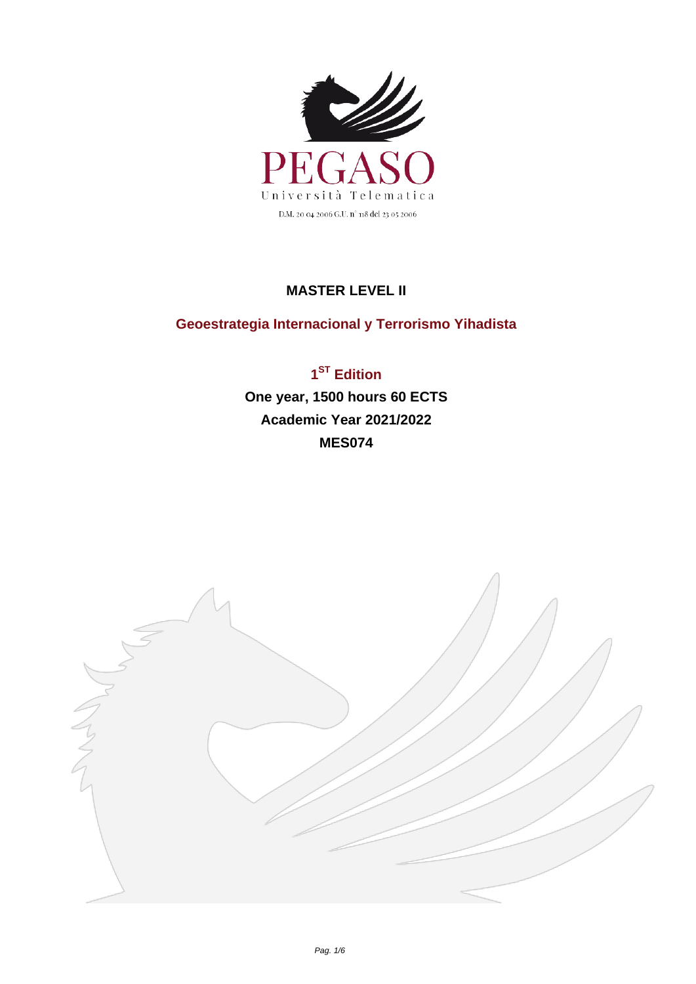

## **MASTER LEVEL II**

## **Geoestrategia Internacional y Terrorismo Yihadista**

**1 ST Edition One year, 1500 hours 60 ECTS Academic Year 2021/2022 MES074**

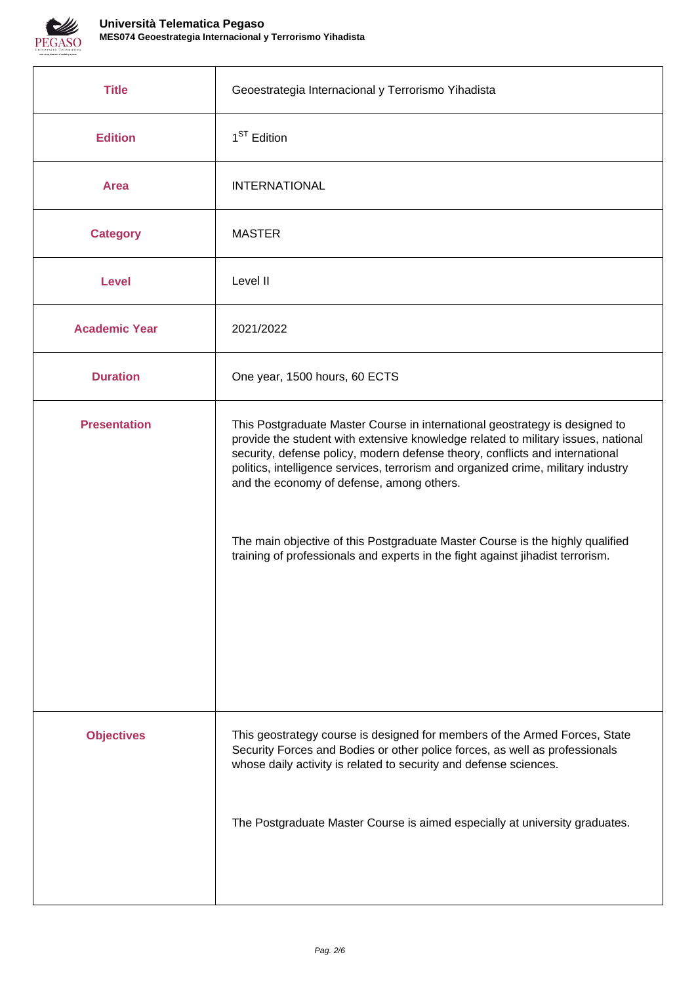

| <b>Title</b>         | Geoestrategia Internacional y Terrorismo Yihadista                                                                                                                                                                                                                                                                                                                                                                                                                                                                                                    |
|----------------------|-------------------------------------------------------------------------------------------------------------------------------------------------------------------------------------------------------------------------------------------------------------------------------------------------------------------------------------------------------------------------------------------------------------------------------------------------------------------------------------------------------------------------------------------------------|
| <b>Edition</b>       | $1ST$ Edition                                                                                                                                                                                                                                                                                                                                                                                                                                                                                                                                         |
| <b>Area</b>          | <b>INTERNATIONAL</b>                                                                                                                                                                                                                                                                                                                                                                                                                                                                                                                                  |
| <b>Category</b>      | <b>MASTER</b>                                                                                                                                                                                                                                                                                                                                                                                                                                                                                                                                         |
| <b>Level</b>         | Level II                                                                                                                                                                                                                                                                                                                                                                                                                                                                                                                                              |
| <b>Academic Year</b> | 2021/2022                                                                                                                                                                                                                                                                                                                                                                                                                                                                                                                                             |
| <b>Duration</b>      | One year, 1500 hours, 60 ECTS                                                                                                                                                                                                                                                                                                                                                                                                                                                                                                                         |
| <b>Presentation</b>  | This Postgraduate Master Course in international geostrategy is designed to<br>provide the student with extensive knowledge related to military issues, national<br>security, defense policy, modern defense theory, conflicts and international<br>politics, intelligence services, terrorism and organized crime, military industry<br>and the economy of defense, among others.<br>The main objective of this Postgraduate Master Course is the highly qualified<br>training of professionals and experts in the fight against jihadist terrorism. |
| <b>Objectives</b>    | This geostrategy course is designed for members of the Armed Forces, State<br>Security Forces and Bodies or other police forces, as well as professionals<br>whose daily activity is related to security and defense sciences.<br>The Postgraduate Master Course is aimed especially at university graduates.                                                                                                                                                                                                                                         |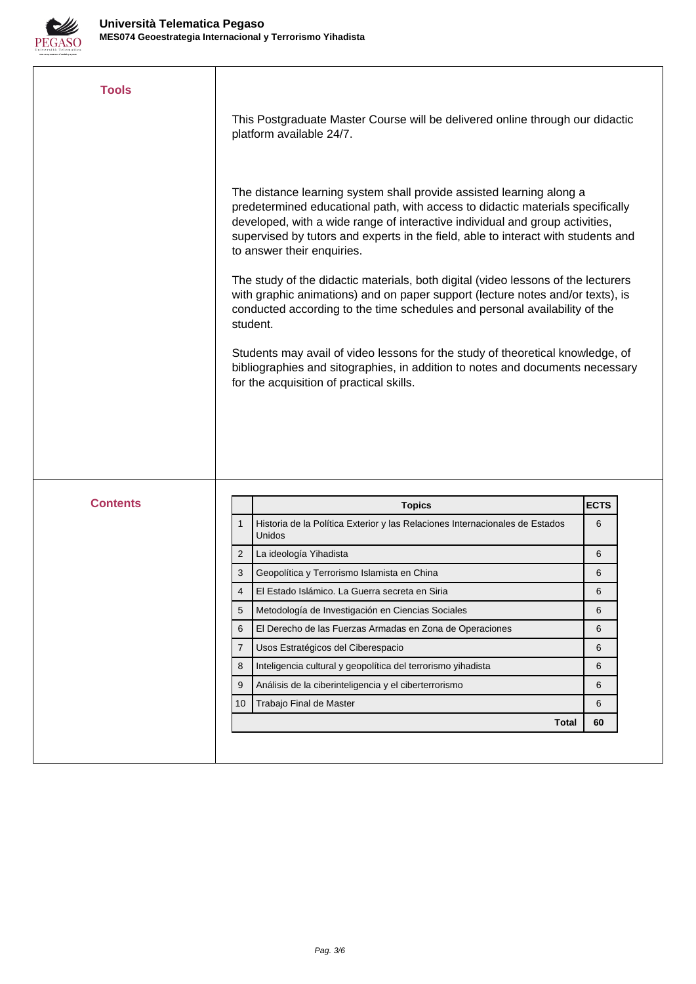

|                | The distance learning system shall provide assisted learning along a<br>predetermined educational path, with access to didactic materials specifically |                                                                                                                               |                                                                                                                                                                                                                                                                                                                                                                                                                                                                                                                                                                                                          |
|----------------|--------------------------------------------------------------------------------------------------------------------------------------------------------|-------------------------------------------------------------------------------------------------------------------------------|----------------------------------------------------------------------------------------------------------------------------------------------------------------------------------------------------------------------------------------------------------------------------------------------------------------------------------------------------------------------------------------------------------------------------------------------------------------------------------------------------------------------------------------------------------------------------------------------------------|
|                |                                                                                                                                                        |                                                                                                                               |                                                                                                                                                                                                                                                                                                                                                                                                                                                                                                                                                                                                          |
| $\mathbf{1}$   | Historia de la Política Exterior y las Relaciones Internacionales de Estados<br>Unidos                                                                 | 6                                                                                                                             |                                                                                                                                                                                                                                                                                                                                                                                                                                                                                                                                                                                                          |
| $\overline{2}$ |                                                                                                                                                        | 6                                                                                                                             |                                                                                                                                                                                                                                                                                                                                                                                                                                                                                                                                                                                                          |
| 3              | Geopolítica y Terrorismo Islamista en China                                                                                                            | 6                                                                                                                             |                                                                                                                                                                                                                                                                                                                                                                                                                                                                                                                                                                                                          |
| 4              | El Estado Islámico. La Guerra secreta en Siria                                                                                                         | 6                                                                                                                             |                                                                                                                                                                                                                                                                                                                                                                                                                                                                                                                                                                                                          |
| 5              | Metodología de Investigación en Ciencias Sociales                                                                                                      | 6                                                                                                                             |                                                                                                                                                                                                                                                                                                                                                                                                                                                                                                                                                                                                          |
| 6              | El Derecho de las Fuerzas Armadas en Zona de Operaciones                                                                                               | 6                                                                                                                             |                                                                                                                                                                                                                                                                                                                                                                                                                                                                                                                                                                                                          |
| $\overline{7}$ | Usos Estratégicos del Ciberespacio                                                                                                                     | 6                                                                                                                             |                                                                                                                                                                                                                                                                                                                                                                                                                                                                                                                                                                                                          |
| 8              | Inteligencia cultural y geopolítica del terrorismo yihadista                                                                                           | 6                                                                                                                             |                                                                                                                                                                                                                                                                                                                                                                                                                                                                                                                                                                                                          |
| 9              | Análisis de la ciberinteligencia y el ciberterrorismo                                                                                                  | 6                                                                                                                             |                                                                                                                                                                                                                                                                                                                                                                                                                                                                                                                                                                                                          |
|                |                                                                                                                                                        |                                                                                                                               |                                                                                                                                                                                                                                                                                                                                                                                                                                                                                                                                                                                                          |
| 10             | Trabajo Final de Master                                                                                                                                | 6                                                                                                                             |                                                                                                                                                                                                                                                                                                                                                                                                                                                                                                                                                                                                          |
|                |                                                                                                                                                        | to answer their enquiries.<br>student.<br>for the acquisition of practical skills.<br><b>Topics</b><br>La ideología Yihadista | developed, with a wide range of interactive individual and group activities,<br>supervised by tutors and experts in the field, able to interact with students and<br>The study of the didactic materials, both digital (video lessons of the lecturers<br>with graphic animations) and on paper support (lecture notes and/or texts), is<br>conducted according to the time schedules and personal availability of the<br>Students may avail of video lessons for the study of theoretical knowledge, of<br>bibliographies and sitographies, in addition to notes and documents necessary<br><b>ECTS</b> |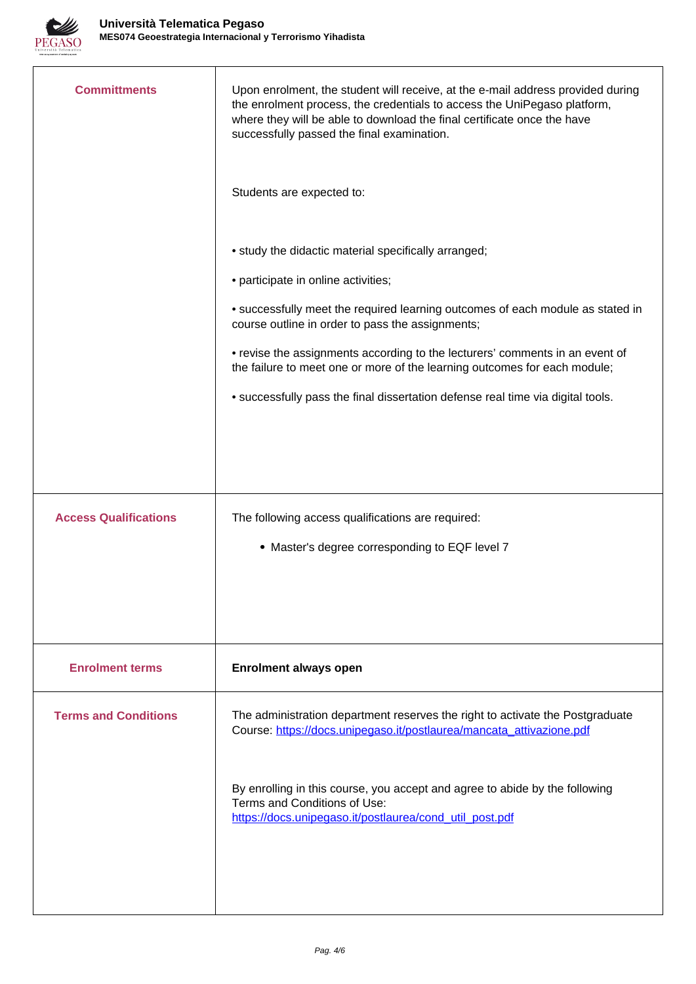

| <b>Committments</b>          | Upon enrolment, the student will receive, at the e-mail address provided during<br>the enrolment process, the credentials to access the UniPegaso platform,<br>where they will be able to download the final certificate once the have<br>successfully passed the final examination. |
|------------------------------|--------------------------------------------------------------------------------------------------------------------------------------------------------------------------------------------------------------------------------------------------------------------------------------|
|                              | Students are expected to:                                                                                                                                                                                                                                                            |
|                              | • study the didactic material specifically arranged;                                                                                                                                                                                                                                 |
|                              | • participate in online activities;                                                                                                                                                                                                                                                  |
|                              | • successfully meet the required learning outcomes of each module as stated in<br>course outline in order to pass the assignments;                                                                                                                                                   |
|                              | • revise the assignments according to the lecturers' comments in an event of<br>the failure to meet one or more of the learning outcomes for each module;                                                                                                                            |
|                              | • successfully pass the final dissertation defense real time via digital tools.                                                                                                                                                                                                      |
|                              |                                                                                                                                                                                                                                                                                      |
| <b>Access Qualifications</b> | The following access qualifications are required:                                                                                                                                                                                                                                    |
|                              | • Master's degree corresponding to EQF level 7                                                                                                                                                                                                                                       |
|                              |                                                                                                                                                                                                                                                                                      |
|                              |                                                                                                                                                                                                                                                                                      |
| <b>Enrolment terms</b>       | <b>Enrolment always open</b>                                                                                                                                                                                                                                                         |
| <b>Terms and Conditions</b>  | The administration department reserves the right to activate the Postgraduate<br>Course: https://docs.unipegaso.it/postlaurea/mancata_attivazione.pdf                                                                                                                                |
|                              | By enrolling in this course, you accept and agree to abide by the following<br>Terms and Conditions of Use:<br>https://docs.unipegaso.it/postlaurea/cond_util_post.pdf                                                                                                               |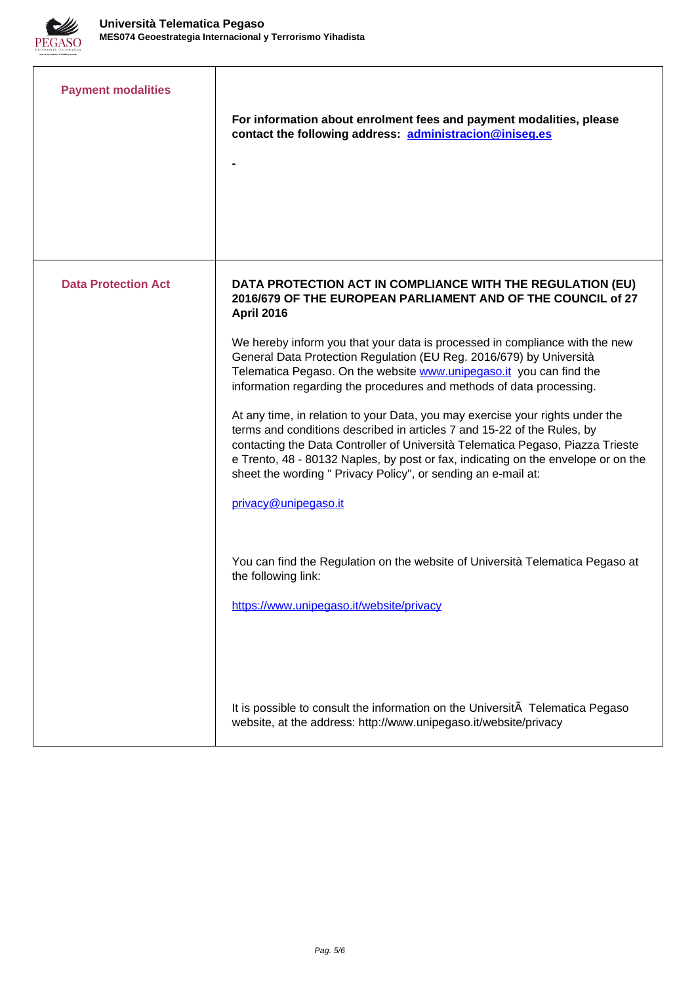

|                                                                                                                                                                                                                                                                                                                                                                                                                                                                                                                                                                                                                                                                                                                                                                                                                                                                                                                                                                                                                                                                                                                                                                                                                         | <b>Payment modalities</b> | For information about enrolment fees and payment modalities, please<br>contact the following address: administracion@iniseg.es |
|-------------------------------------------------------------------------------------------------------------------------------------------------------------------------------------------------------------------------------------------------------------------------------------------------------------------------------------------------------------------------------------------------------------------------------------------------------------------------------------------------------------------------------------------------------------------------------------------------------------------------------------------------------------------------------------------------------------------------------------------------------------------------------------------------------------------------------------------------------------------------------------------------------------------------------------------------------------------------------------------------------------------------------------------------------------------------------------------------------------------------------------------------------------------------------------------------------------------------|---------------------------|--------------------------------------------------------------------------------------------------------------------------------|
| <b>Data Protection Act</b><br>DATA PROTECTION ACT IN COMPLIANCE WITH THE REGULATION (EU)<br>2016/679 OF THE EUROPEAN PARLIAMENT AND OF THE COUNCIL of 27<br><b>April 2016</b><br>We hereby inform you that your data is processed in compliance with the new<br>General Data Protection Regulation (EU Reg. 2016/679) by Università<br>Telematica Pegaso. On the website www.unipegaso.it you can find the<br>information regarding the procedures and methods of data processing.<br>At any time, in relation to your Data, you may exercise your rights under the<br>terms and conditions described in articles 7 and 15-22 of the Rules, by<br>contacting the Data Controller of Università Telematica Pegaso, Piazza Trieste<br>e Trento, 48 - 80132 Naples, by post or fax, indicating on the envelope or on the<br>sheet the wording " Privacy Policy", or sending an e-mail at:<br>privacy@unipegaso.it<br>You can find the Regulation on the website of Università Telematica Pegaso at<br>the following link:<br>https://www.unipegaso.it/website/privacy<br>It is possible to consult the information on the UniversitA Telematica Pegaso<br>website, at the address: http://www.unipegaso.it/website/privacy |                           |                                                                                                                                |